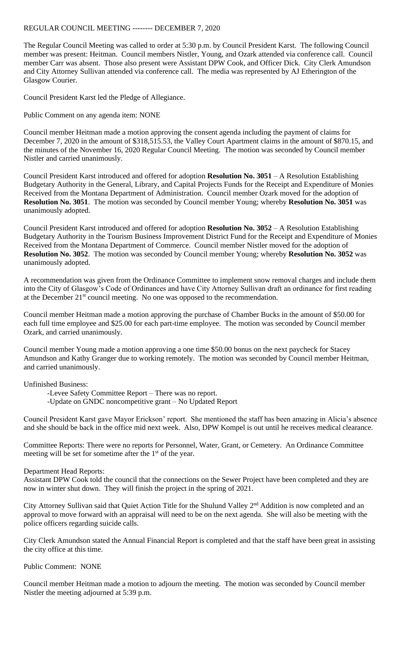## REGULAR COUNCIL MEETING -------- DECEMBER 7, 2020

The Regular Council Meeting was called to order at 5:30 p.m. by Council President Karst. The following Council member was present: Heitman. Council members Nistler, Young, and Ozark attended via conference call. Council member Carr was absent. Those also present were Assistant DPW Cook, and Officer Dick. City Clerk Amundson and City Attorney Sullivan attended via conference call. The media was represented by AJ Etherington of the Glasgow Courier.

Council President Karst led the Pledge of Allegiance.

Public Comment on any agenda item: NONE

Council member Heitman made a motion approving the consent agenda including the payment of claims for December 7, 2020 in the amount of \$318,515.53, the Valley Court Apartment claims in the amount of \$870.15, and the minutes of the November 16, 2020 Regular Council Meeting. The motion was seconded by Council member Nistler and carried unanimously.

Council President Karst introduced and offered for adoption **Resolution No. 3051** – A Resolution Establishing Budgetary Authority in the General, Library, and Capital Projects Funds for the Receipt and Expenditure of Monies Received from the Montana Department of Administration. Council member Ozark moved for the adoption of **Resolution No. 3051**. The motion was seconded by Council member Young; whereby **Resolution No. 3051** was unanimously adopted.

Council President Karst introduced and offered for adoption **Resolution No. 3052** – A Resolution Establishing Budgetary Authority in the Tourism Business Improvement District Fund for the Receipt and Expenditure of Monies Received from the Montana Department of Commerce. Council member Nistler moved for the adoption of **Resolution No. 3052**. The motion was seconded by Council member Young; whereby **Resolution No. 3052** was unanimously adopted.

A recommendation was given from the Ordinance Committee to implement snow removal charges and include them into the City of Glasgow's Code of Ordinances and have City Attorney Sullivan draft an ordinance for first reading at the December  $21<sup>st</sup>$  council meeting. No one was opposed to the recommendation.

Council member Heitman made a motion approving the purchase of Chamber Bucks in the amount of \$50.00 for each full time employee and \$25.00 for each part-time employee. The motion was seconded by Council member Ozark, and carried unanimously.

Council member Young made a motion approving a one time \$50.00 bonus on the next paycheck for Stacey Amundson and Kathy Granger due to working remotely. The motion was seconded by Council member Heitman, and carried unanimously.

Unfinished Business:

-Levee Safety Committee Report – There was no report.

-Update on GNDC noncompetitive grant – No Updated Report

Council President Karst gave Mayor Erickson' report. She mentioned the staff has been amazing in Alicia's absence and she should be back in the office mid next week. Also, DPW Kompel is out until he receives medical clearance.

Committee Reports: There were no reports for Personnel, Water, Grant, or Cemetery. An Ordinance Committee meeting will be set for sometime after the  $1<sup>st</sup>$  of the year.

Department Head Reports:

Assistant DPW Cook told the council that the connections on the Sewer Project have been completed and they are now in winter shut down. They will finish the project in the spring of 2021.

City Attorney Sullivan said that Quiet Action Title for the Shulund Valley 2nd Addition is now completed and an approval to move forward with an appraisal will need to be on the next agenda. She will also be meeting with the police officers regarding suicide calls.

City Clerk Amundson stated the Annual Financial Report is completed and that the staff have been great in assisting the city office at this time.

Public Comment: NONE

Council member Heitman made a motion to adjourn the meeting. The motion was seconded by Council member Nistler the meeting adjourned at 5:39 p.m.